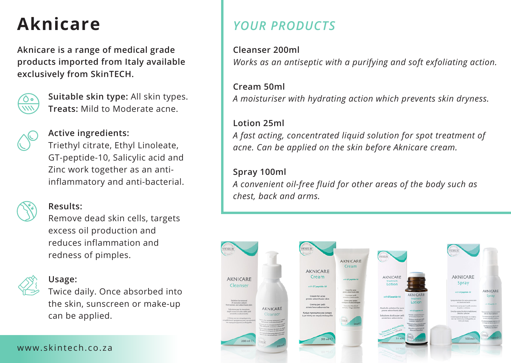**Aknicare is a range of medical grade products imported from Italy available exclusively from SkinTECH.**



**Suitable skin type:** All skin types. **Treats:** Mild to Moderate acne.



## **Active ingredients:**

Triethyl citrate, Ethyl Linoleate, GT-peptide-10, Salicylic acid and Zinc work together as an antiinflammatory and anti-bacterial.

**Results:**

Remove dead skin cells, targets excess oil production and reduces inflammation and redness of pimples.

## **Usage:**

Twice daily. Once absorbed into the skin, sunscreen or make-up can be applied.

# **Aknicare** *YOUR PRODUCTS*

**Cleanser 200ml**  *Works as an antiseptic with a purifying and soft exfoliating action.*

**Cream 50ml**  *A moisturiser with hydrating action which prevents skin dryness.*

## **Lotion 25ml**

*A fast acting, concentrated liquid solution for spot treatment of acne. Can be applied on the skin before Aknicare cream.*

# **Spray 100ml**

*A convenient oil-free fluid for other areas of the body such as chest, back and arms.*



### www.skintech.co.za